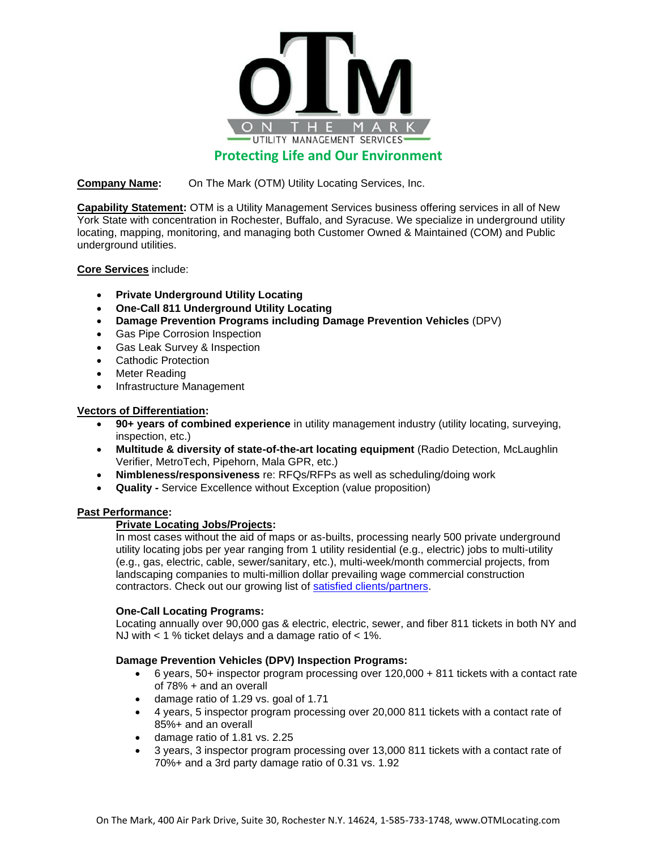

# **Protecting Life and Our Environment**

**Company Name:** On The Mark (OTM) Utility Locating Services, Inc.

**Capability Statement:** OTM is a Utility Management Services business offering services in all of New York State with concentration in Rochester, Buffalo, and Syracuse. We specialize in underground utility locating, mapping, monitoring, and managing both Customer Owned & Maintained (COM) and Public underground utilities.

**Core Services** include:

- **Private Underground Utility Locating**
- **One-Call 811 Underground Utility Locating**
- **Damage Prevention Programs including Damage Prevention Vehicles** (DPV)
- Gas Pipe Corrosion Inspection
- Gas Leak Survey & Inspection
- Cathodic Protection
- Meter Reading
- Infrastructure Management

### **Vectors of Differentiation:**

- **90+ years of combined experience** in utility management industry (utility locating, surveying, inspection, etc.)
- **Multitude & diversity of state-of-the-art locating equipment** (Radio Detection, McLaughlin Verifier, MetroTech, Pipehorn, Mala GPR, etc.)
- **Nimbleness/responsiveness** re: RFQs/RFPs as well as scheduling/doing work
- **Quality -** Service Excellence without Exception (value proposition)

### **Past Performance:**

# **Private Locating Jobs/Projects:**

In most cases without the aid of maps or as-builts, processing nearly 500 private underground utility locating jobs per year ranging from 1 utility residential (e.g., electric) jobs to multi-utility (e.g., gas, electric, cable, sewer/sanitary, etc.), multi-week/month commercial projects, from landscaping companies to multi-million dollar prevailing wage commercial construction contractors. Check out our growing list of [satisfied clients/partners.](https://www.otmlocating.com/private-utility-locating-customers)

### **One-Call Locating Programs:**

Locating annually over 90,000 gas & electric, electric, sewer, and fiber 811 tickets in both NY and NJ with < 1 % ticket delays and a damage ratio of < 1%.

### **Damage Prevention Vehicles (DPV) Inspection Programs:**

- 6 years, 50+ inspector program processing over 120,000 + 811 tickets with a contact rate of 78% + and an overall
- damage ratio of 1.29 vs. goal of 1.71
- 4 years, 5 inspector program processing over 20,000 811 tickets with a contact rate of 85%+ and an overall
- damage ratio of 1.81 vs. 2.25
- 3 years, 3 inspector program processing over 13,000 811 tickets with a contact rate of 70%+ and a 3rd party damage ratio of 0.31 vs. 1.92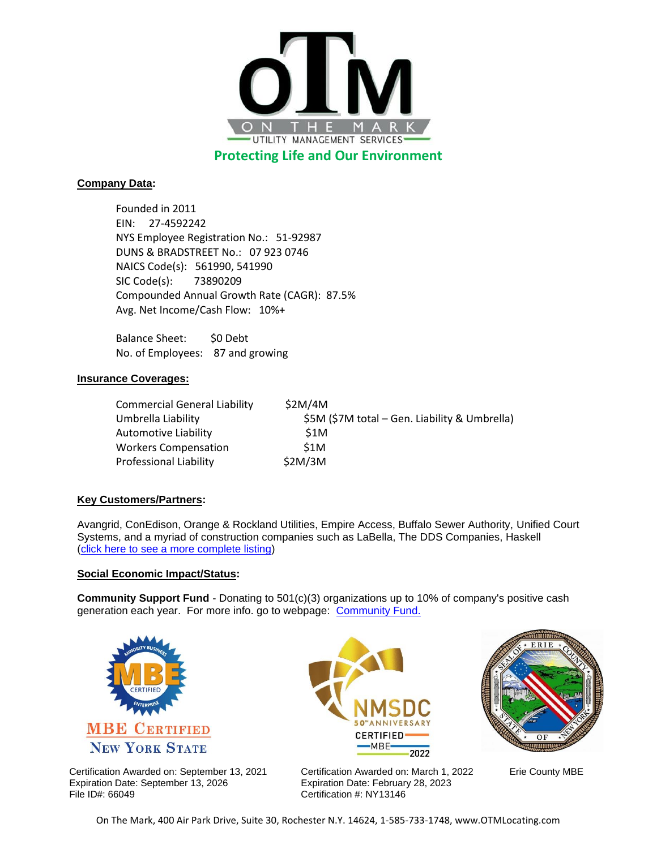

**Protecting Life and Our Environment**

# **Company Data:**

Founded in 2011 EIN: 27-4592242 NYS Employee Registration No.: 51-92987 DUNS & BRADSTREET No.: 07 923 0746 NAICS Code(s): 561990, 541990 SIC Code(s): 73890209 Compounded Annual Growth Rate (CAGR): 87.5% Avg. Net Income/Cash Flow: 10%+

Balance Sheet: \$0 Debt No. of Employees: 87 and growing

# **Insurance Coverages:**

| Commercial General Liability  | \$2M/4M                                       |
|-------------------------------|-----------------------------------------------|
| Umbrella Liability            | \$5M (\$7M total – Gen. Liability & Umbrella) |
| Automotive Liability          | S <sub>1</sub> M                              |
| <b>Workers Compensation</b>   | \$1M                                          |
| <b>Professional Liability</b> | \$2M/3M                                       |

# **Key Customers/Partners:**

Avangrid, ConEdison, Orange & Rockland Utilities, Empire Access, Buffalo Sewer Authority, Unified Court Systems, and a myriad of construction companies such as LaBella, The DDS Companies, Haskell [\(click here to see a more complete listing\)](https://www.otmlocating.com/private-utility-locating-customers)

### **Social Economic Impact/Status:**

**Community Support Fund** - Donating to 501(c)(3) organizations up to 10% of company's positive cash generation each year. For more info. go to webpage: [Community Fund.](https://www.otmlocating.com/community-support)



Certification Awarded on: September 13, 2021 Expiration Date: September 13, 2026 File ID#: 66049

**CERTIFIED** ·MBE· 2022 Certification Awarded on: March 1, 2022 Expiration Date: February 28, 2023 Certification #: NY13146



Erie County MBE

On The Mark, 400 Air Park Drive, Suite 30, Rochester N.Y. 14624, 1-585-733-1748, www.OTMLocating.com